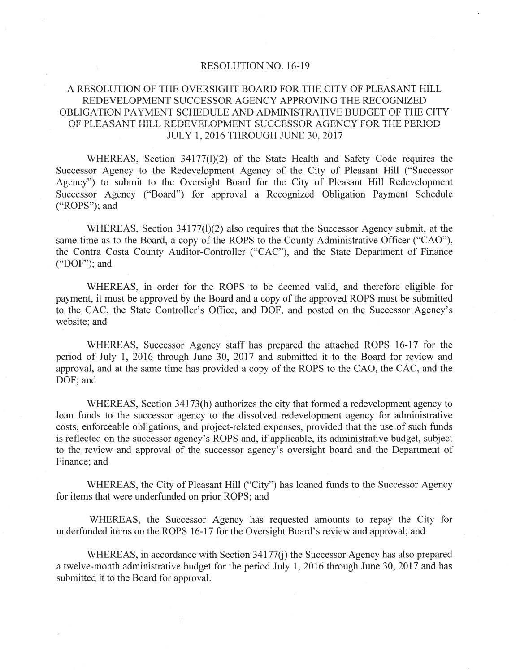#### **RESOLUTION NO. 16-19**

#### A RESOLUTION OF THE OVERSIGHT BOARD FOR THE CITY OF PLEASANT HILL REDEVELOPMENT SUCCESSOR AGENCY APPROVING THE RECOGNIZED OBLIGATION PAYMENT SCHEDULE AND ADMINISTRATIVE BUDGET OF THE CITY OF PLEASANT HILL REDEVELOPMENT SUCCESSOR AGENCY FOR THE PERIOD **JULY 1, 2016 THROUGH JUNE 30, 2017**

WHEREAS, Section 34177(1)(2) of the State Health and Safety Code requires the Successor Agency to the Redevelopment Agency of the City of Pleasant Hill ("Successor Agency") to submit to the Oversight Board for the City of Pleasant Hill Redevelopment Successor Agency ("Board") for approval a Recognized Obligation Payment Schedule ("ROPS"); and

WHEREAS, Section 34177(1)(2) also requires that the Successor Agency submit, at the same time as to the Board, a copy of the ROPS to the County Administrative Officer ("CAO"), the Contra Costa County Auditor-Controller ("CAC"), and the State Department of Finance ("DOF"); and

WHEREAS, in order for the ROPS to be deemed valid, and therefore eligible for payment, it must be approved by the Board and a copy of the approved ROPS must be submitted to the CAC, the State Controller's Office, and DOF, and posted on the Successor Agency's website; and

WHEREAS, Successor Agency staff has prepared the attached ROPS 16-17 for the period of July 1, 2016 through June 30, 2017 and submitted it to the Board for review and approval, and at the same time has provided a copy of the ROPS to the CAO, the CAC, and the DOF: and

WHEREAS, Section 34173(h) authorizes the city that formed a redevelopment agency to loan funds to the successor agency to the dissolved redevelopment agency for administrative costs, enforceable obligations, and project-related expenses, provided that the use of such funds is reflected on the successor agency's ROPS and, if applicable, its administrative budget, subject to the review and approval of the successor agency's oversight board and the Department of Finance; and

WHEREAS, the City of Pleasant Hill ("City") has loaned funds to the Successor Agency for items that were underfunded on prior ROPS; and

WHEREAS, the Successor Agency has requested amounts to repay the City for underfunded items on the ROPS 16-17 for the Oversight Board's review and approval; and

WHEREAS, in accordance with Section 34177(j) the Successor Agency has also prepared a twelve-month administrative budget for the period July 1, 2016 through June 30, 2017 and has submitted it to the Board for approval.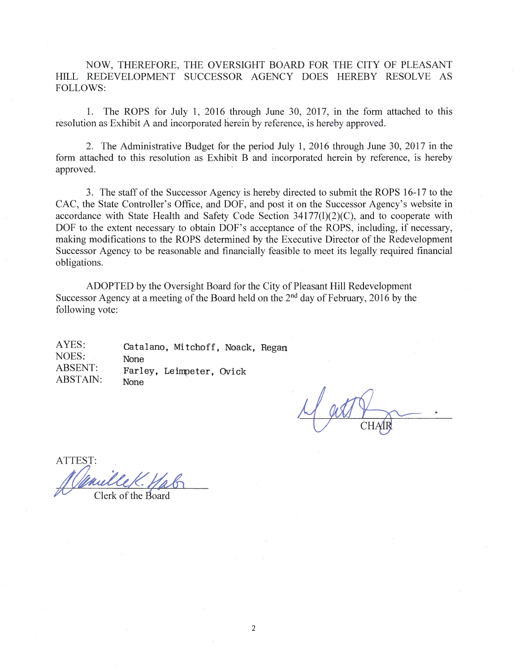NOW, THEREFORE, THE OVERSIGHT BOARD FOR THE CITY OF PLEASANT HILL REDEVELOPMENT SUCCESSOR AGENCY DOES HEREBY RESOLVE AS **FOLLOWS:** 

1. The ROPS for July 1, 2016 through June 30, 2017, in the form attached to this resolution as Exhibit A and incorporated herein by reference, is hereby approved.

2. The Administrative Budget for the period July 1, 2016 through June 30, 2017 in the form attached to this resolution as Exhibit B and incorporated herein by reference, is hereby approved.

3. The staff of the Successor Agency is hereby directed to submit the ROPS 16-17 to the CAC, the State Controller's Office, and DOF, and post it on the Successor Agency's website in accordance with State Health and Safety Code Section  $34177(1)(2)(C)$ , and to cooperate with DOF to the extent necessary to obtain DOF's acceptance of the ROPS, including, if necessary, making modifications to the ROPS determined by the Executive Director of the Redevelopment Successor Agency to be reasonable and financially feasible to meet its legally required financial obligations.

ADOPTED by the Oversight Board for the City of Pleasant Hill Redevelopment Successor Agency at a meeting of the Board held on the 2<sup>nd</sup> day of February, 2016 by the following vote:

AYES: Catalano, Mitchoff, Noack, Regan NOES: None **ABSENT:** Farley, Leimpeter, Ovick **ABSTAIN: None** 

**ATTEST:**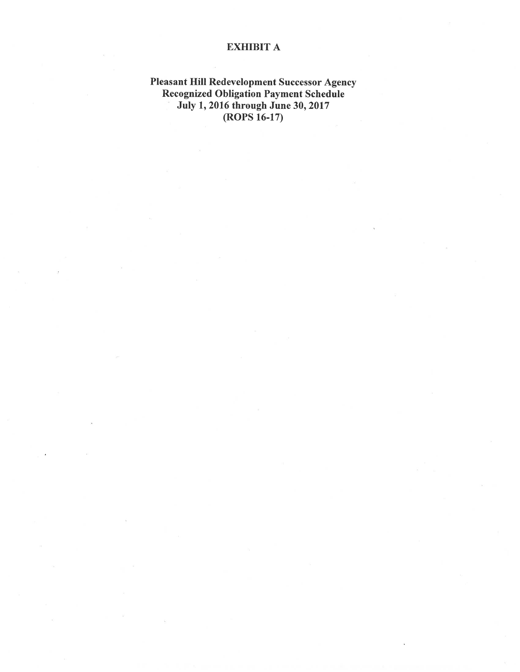### **EXHIBIT A**

# **Pleasant Hill Redevelopment Successor Agency<br>Recognized Obligation Payment Schedule<br>July 1, 2016 through June 30, 2017<br>(ROPS 16-17)**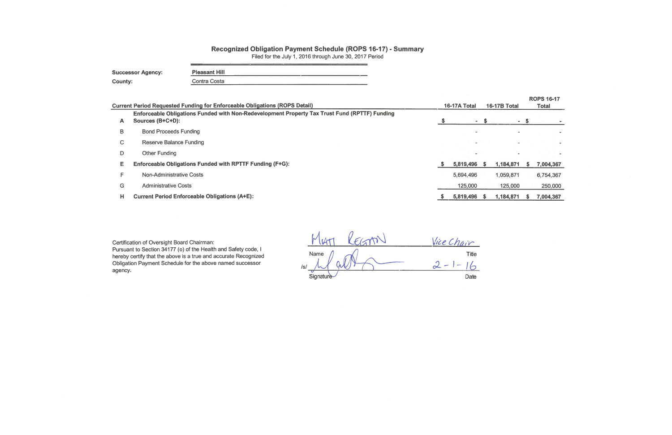# Recognized Obligation Payment Schedule (ROPS 16-17) - Summary

Filed for the July 1, 2016 through June 30, 2017 Period

<u> 1989 - Andrea Amerikaansk filosof (d. 1989)</u>

| <b>Successor Agency:</b> | <b>Pleasant Hill</b> |
|--------------------------|----------------------|
| County:                  | Contra Costa         |

|    | <b>Current Period Requested Funding for Enforceable Obligations (ROPS Detail)</b>                                 |    | 16-17A Total |      | <b>16-17B Total</b> | <b>ROPS 16-17</b><br>Total |           |  |
|----|-------------------------------------------------------------------------------------------------------------------|----|--------------|------|---------------------|----------------------------|-----------|--|
| A  | Enforceable Obligations Funded with Non-Redevelopment Property Tax Trust Fund (RPTTF) Funding<br>Sources (B+C+D): |    |              | - \$ | $\mathbf{m}$        |                            |           |  |
| B  | <b>Bond Proceeds Funding</b>                                                                                      |    |              |      |                     |                            |           |  |
| C. | <b>Reserve Balance Funding</b>                                                                                    |    |              |      |                     |                            |           |  |
| D  | <b>Other Funding</b>                                                                                              |    |              |      |                     |                            |           |  |
| E. | Enforceable Obligations Funded with RPTTF Funding (F+G):                                                          | -5 | 5,819,496    |      | 1,184,871           |                            | 7,004,367 |  |
| F  | <b>Non-Administrative Costs</b>                                                                                   |    | 5,694,496    |      | 1,059,871           |                            | 6,754,367 |  |
| G  | <b>Administrative Costs</b>                                                                                       |    | 125,000      |      | 125,000             |                            | 250,000   |  |
| н  | <b>Current Period Enforceable Obligations (A+E):</b>                                                              |    | 5,819,496    |      | 1,184,871           |                            | 7,004,367 |  |

Certification of Oversight Board Chairman: Pursuant to Section 34177 (o) of the Health and Safety code, I hereby certify that the above is a true and accurate Recognized Obligation Payment Schedule for the above named successor

agency.

|            | Vice Chair   |
|------------|--------------|
| Name       | <b>Title</b> |
| $\sqrt{s}$ |              |
| Signature  | <b>Date</b>  |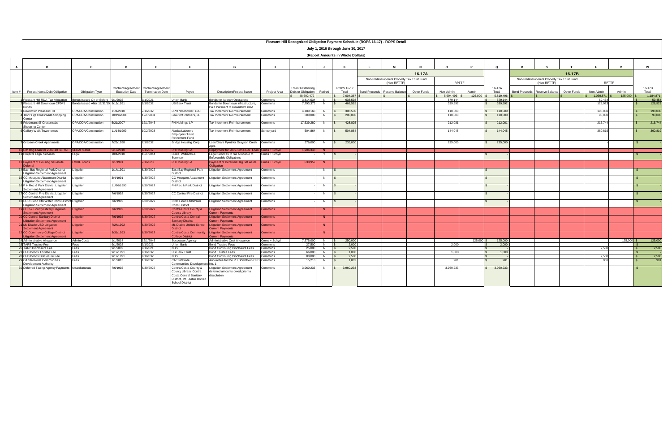| Pleasant Hill Recognized Obligation Payment Schedule (ROPS 16-17) - ROPS Detail     |                             |                        |                                                                  |                                                                                                                              |                                                                                         |                    |                                                |                |                                   |               |                                           |             |              |            |                 |                                           |                 |             |              |            |                   |
|-------------------------------------------------------------------------------------|-----------------------------|------------------------|------------------------------------------------------------------|------------------------------------------------------------------------------------------------------------------------------|-----------------------------------------------------------------------------------------|--------------------|------------------------------------------------|----------------|-----------------------------------|---------------|-------------------------------------------|-------------|--------------|------------|-----------------|-------------------------------------------|-----------------|-------------|--------------|------------|-------------------|
| July 1, 2016 through June 30, 2017                                                  |                             |                        |                                                                  |                                                                                                                              |                                                                                         |                    |                                                |                |                                   |               |                                           |             |              |            |                 |                                           |                 |             |              |            |                   |
|                                                                                     |                             |                        |                                                                  |                                                                                                                              |                                                                                         |                    |                                                |                | (Report Amounts in Whole Dollars) |               |                                           |             |              |            |                 |                                           |                 |             |              |            |                   |
|                                                                                     | $\mathbf{c}$                | D                      | E                                                                | $\blacksquare$                                                                                                               | G                                                                                       | H                  |                                                |                | K                                 |               | M                                         |             |              |            | $\Omega$        |                                           |                 |             |              |            | w                 |
|                                                                                     |                             |                        |                                                                  |                                                                                                                              |                                                                                         |                    |                                                |                |                                   |               |                                           | 16-17A      |              |            |                 |                                           |                 | 16-17B      |              |            |                   |
|                                                                                     |                             |                        |                                                                  |                                                                                                                              |                                                                                         |                    |                                                |                |                                   |               | Non-Redevelopment Property Tax Trust Fund |             |              |            |                 | Non-Redevelopment Property Tax Trust Fund |                 |             |              |            |                   |
|                                                                                     |                             |                        |                                                                  |                                                                                                                              |                                                                                         |                    |                                                |                |                                   |               | (Non-RPTTF)                               |             | RPTTF        |            |                 |                                           | (Non-RPTTF)     |             | <b>RPTTF</b> |            |                   |
| Project Name/Debt Obligation<br>Item $#$                                            | Obligation Type             | <b>Execution Date</b>  | Contract/Agreement Contract/Agreement<br><b>Termination Date</b> | Pavee                                                                                                                        | <b>Description/Project Scope</b>                                                        | Project Area       | <b>Total Outstanding</b><br>Debt or Obligation | Retired        | ROPS 16-17<br>Total               | Bond Proceeds | Reserve Balance                           | Other Funds | Non-Admin    | Admin      | 16-17A<br>Total | Bond Proceeds                             | Reserve Balance | Other Funds | Non-Admin    | Admin      | 16-17B<br>Total   |
|                                                                                     |                             |                        |                                                                  |                                                                                                                              |                                                                                         |                    | 48,602,472                                     |                | 7.004.367                         |               |                                           |             | 5.694.496 \$ | 125,000    | 5.819.496       |                                           |                 |             | 1.059.871    | 125,000    | 1.184,871         |
| 1 Pleasant Hill RDA Tax Allocation Bonds Issued On or Before 9/1/2002               |                             |                        | 9/1/2021                                                         | Union Bank                                                                                                                   | <b>Bonds for Agency Operations</b>                                                      | Commons            | 3,814,534                                      | $N$ $S$        | 638,598                           |               |                                           |             | 579,144      |            | 579,144         |                                           |                 |             | 59,454       |            | 59,454<br>128,923 |
| Pleasant Hill Downtown CFD#1<br>Bonds                                               | Bonds Issued After 12/31/10 | 9/19/1991              | 9/1/2032                                                         | S Bank Trust                                                                                                                 | Bonds for Downtown Infrastructure,<br>Paid Pursuant to Downtown DDA                     | Commons            | 7,793,37                                       | N              | 468,515                           |               |                                           |             | 339.592      |            | 339,592         |                                           |                 |             | 128,923      |            |                   |
| Downtown Pleasant Hill                                                              | OPA/DDA/Construction        | 11/1/2010              | 7/1/2032                                                         | DPH Noteholder, LLC                                                                                                          | Tax Increment Reimbursement                                                             | Commons            | 4,180,163                                      | N              | 308,530                           |               |                                           |             | 110,500      |            | 110,500         |                                           |                 |             | 198,030      |            | 198,030           |
| Kohl's @ Crossroads Shopping<br>Center                                              | OPA/DDA/Construction        | 10/19/2004             | 12/1/2031                                                        | Beaufort Partners, LP                                                                                                        | Tax Increment Reimbursement                                                             | Commons            | 300,000                                        | N              | 200,000                           |               |                                           |             | 110,000      |            | 110,000         |                                           |                 |             | 90,000       |            | 90,000            |
| 5 Friedmans @ Crossroads                                                            | OPA/DDA/Construction        | 5/21/2007              | 12/1/2045                                                        | PH Holdings LP                                                                                                               | Tax Increment Reimbursement                                                             | Commons            | 17,539,280                                     | N              | 428,825                           |               |                                           |             | 212,081      |            | 212,081         |                                           |                 |             | 216,744      |            | 216,744           |
| Shopping Center<br>6 Gallery Walk Townhomes                                         | OPA/DDA/Construction        | 11/14/1999             | 10/2/2028                                                        | Alaska Laborers                                                                                                              | ax Increment Reimbursement                                                              | Schoolyard         | 504,864                                        | N              | 504,864                           |               |                                           |             | 144,045      |            | 144,045         |                                           |                 |             | 360,819      |            | 360,819           |
|                                                                                     |                             |                        |                                                                  | <b>Employers Trust</b><br>Retirement Fund                                                                                    |                                                                                         |                    |                                                |                |                                   |               |                                           |             |              |            |                 |                                           |                 |             |              |            |                   |
| <b>Grayson Creek Apartments</b>                                                     | OPA/DDA/Construction        | 7/29/1998              | 7/1/2032                                                         | Bridge Housing Corp.                                                                                                         | Loan/Grant Pymt for Grayson Creek<br>Ants.                                              | Commons            | 376,000                                        | N              | 235,000                           |               |                                           |             | 235,000      |            | 235,000         |                                           |                 |             |              |            |                   |
| 10 L/M Hsq Loan for 2009-10 SERAF SERAF/ERAF                                        |                             | 5/17/2010              | 6/1/2017                                                         | <b>PH Housing SA</b>                                                                                                         | Repayment for 2009-10 SERAF Loan                                                        | Cmns + Schvd       | 1.906.348                                      | N              |                                   |               |                                           |             |              |            |                 |                                           |                 |             |              |            |                   |
| 11 Projects Legal Services                                                          | Legal                       | 10/4/2010              | 10/1/2044                                                        | Burke, Williams &<br>Sorensen                                                                                                | Legal Services to SA Allocable to<br>Enforceable Obligations                            | Cmns + Schyd       |                                                | Y              |                                   |               |                                           |             |              |            |                 |                                           |                 |             |              |            |                   |
| 13 Payment of Housing Set-aside                                                     | <b>LMIHF Loans</b>          | 7/1/1991               | 7/1/2023                                                         | PH Housing SA                                                                                                                | Payment of Deferred Hsg Set Aside                                                       | Cmns + Schyd       | 638,957                                        | N              |                                   |               |                                           |             |              |            |                 |                                           |                 |             |              |            |                   |
| 14 East Bay Regional Park District<br><b>Litigation Settlement Agreement</b>        | Litigation                  | 1/14/1991              | 6/30/2027                                                        | East Bay Regional Park<br>District                                                                                           | Litigation Settlement Agreement                                                         | Commons            |                                                | N              |                                   |               |                                           |             |              |            |                 |                                           |                 |             |              |            |                   |
| 15 CC Mosquito Abatement District<br><b>Litigation Settlement Agreement</b>         | Litigation                  | 3/4/1991               | 6/30/2027                                                        | CC Mosquito Abatement<br><b>District</b>                                                                                     | <b>Litigation Settlement Agreement</b>                                                  | Commons            |                                                | N              |                                   |               |                                           |             |              |            |                 |                                           |                 |             |              |            |                   |
| 16 P H Rec & Park District Litigation<br>Settlement Agreement                       | Litigation                  | 1/26/1990              | 6/30/2027                                                        | H Rec & Park District                                                                                                        | Litigation Settlement Agreement                                                         | Commons            |                                                | N              |                                   |               |                                           |             |              |            |                 |                                           |                 |             |              |            |                   |
| 17 CC Central Fire District Litigation Litigation<br>Settlement Agreement           |                             | 7/6/1992               | 6/30/2027                                                        | CC Central Fire District                                                                                                     | Litigation Settlement Agreement                                                         | Commons            |                                                | N              |                                   |               |                                           |             |              |            |                 |                                           |                 |             |              |            |                   |
| 18 CCC Flood Ctrl/Water Cons District Litigation<br>Litigation Settlement Agreement |                             | 7/6/1992               | 6/30/2027                                                        | CCC Flood Ctrl/Water<br><b>Cons District</b>                                                                                 | <b>Litigation Settlement Agreement</b>                                                  | Commons            |                                                | N              |                                   |               |                                           |             |              |            |                 |                                           |                 |             |              |            |                   |
| 19 CCC & County Library Litigation<br><b>Settlement Agreement</b>                   | Litigation                  | 7/6/1992               | 6/30/2027                                                        | <b>Contra Costa County &amp;</b><br>ounty Library                                                                            | <b>Litigation Settlement Agreement</b><br><b>Current Payments</b>                       | <b>Commons</b>     |                                                | N              |                                   |               |                                           |             |              |            |                 |                                           |                 |             |              |            |                   |
| 20 CC Central Sanitary District<br><b>Litigation Settlement Agreement</b>           | Litigation                  | 7/6/1992               | 6/30/2027                                                        | Contra Costa Central<br>anitary District                                                                                     | <b>Litigation Settlement Agreement</b><br><b>Current Payments</b>                       | <b>Commons</b>     |                                                | N.             |                                   |               |                                           |             |              |            |                 |                                           |                 |             |              |            |                   |
| 21 Mt. Diablo USD Litigation<br>Settlement Agreement                                | Litigation                  | 7/24/1992              | 6/30/2027                                                        | Mt. Diablo Unified School                                                                                                    | <b>Litigation Settlement Agreement</b><br><b>Current Payments</b>                       | <b>Commons</b>     |                                                | N.             |                                   |               |                                           |             |              |            |                 |                                           |                 |             |              |            |                   |
| 22 CC Community College District<br><b>Litigation Settlement Agreement</b>          | Litigation                  | 3/31/1993              | 6/30/2027                                                        | <b>Contra Costa Community</b><br><b>ollege District</b>                                                                      | <b>Litigation Settlement Agreement</b><br><b>urrent Payments</b>                        | <b>Commons</b>     |                                                | N              |                                   |               |                                           |             |              |            |                 |                                           |                 |             |              |            |                   |
| 24 Administrative Allowance                                                         | <b>Admin Costs</b>          | 1/1/2014               | 12/1/2045                                                        | Successor Agency                                                                                                             | Administrative Cost Allowance                                                           | Cmns + Schvd       | 7.375.000                                      | $N \qquad S$   | 250,000                           |               |                                           |             |              | 125,000 \$ | 125,000         |                                           |                 |             |              | 125,000 \$ | 125,000           |
| 25 TARB Trustee Fee                                                                 | Fees                        | 9/1/2002               | 9/1/2021                                                         | Union Bank                                                                                                                   | <b>Bond Trustee Fees</b>                                                                | Commons            | 27,500                                         | $\overline{N}$ | 2,000                             |               |                                           |             | 2,000        |            | 2,000           |                                           |                 |             |              |            |                   |
| 26 TARB Disclosure Fee                                                              | Fees                        | 9/1/2002               | 9/1/2021                                                         | JBS.                                                                                                                         | Bond Continuing Disclosure Fees                                                         | Commons            | 25,000                                         | N              | 2,500                             |               |                                           |             |              |            |                 |                                           |                 |             | 2.500        |            | 2,500             |
| 27 CFD Bonds Trustee Fee<br>28 CFD Bonds Disclosure Fee                             | Fees<br>Fees                | 9/19/1991<br>9/19/1991 | 9/1/2032                                                         | S Bank Trust<br><b>NBS</b>                                                                                                   | <b>Bond Trustee Fees</b>                                                                | Commons<br>Commons | 66,000                                         | $N$  <br>N     | 1.000<br>2,500                    |               |                                           |             | 1.000        |            | 1.000           |                                           |                 |             |              |            |                   |
| 29 CA Statewide Communities<br>Development Authority                                | Fees                        | 1/1/2013               | 9/1/2032<br>1/1/2032                                             | <b>CA Statewide</b><br>Communities Development No. 1                                                                         | Bond Continuing Disclosure Fees<br>Annual fee for the PH Downtown CFD Commons           |                    | 80,000<br>15,218                               | N              | 1,802                             |               |                                           |             | 901          |            | 901             |                                           |                 |             | 2,500<br>901 |            | 2,500<br>901      |
| 30 Deferred Taxing Agency Payments Miscellaneous                                    |                             | 7/6/1992               | 6/30/2027                                                        | Contra Costa County &<br>County Library, Contra<br>Costa Central Sanitary<br>District, Mt. Diablo Unified<br>School District | <b>Litigation Settlement Agreement</b><br>deferred amounts owed prior to<br>dissolution | Commons            | 3,960,233                                      | N              | 3,960,233                         |               |                                           |             | 3,960,233    |            | 3,960,233       |                                           |                 |             |              |            |                   |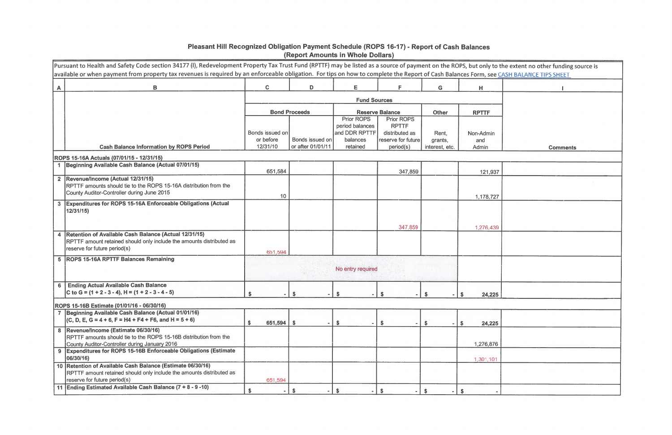# Pleasant Hill Recognized Obligation Payment Schedule (ROPS 16-17) - Report of Cash Balances<br>(Report Amounts in Whole Dollars)

|   | Pursuant to Health and Safety Code section 34177 (I), Redevelopment Property Tax Trust Fund (RPTTF) may be listed as a source of payment on the ROPS, but only to the extent no other funding source is<br>available or when payment from property tax revenues is required by an enforceable obligation. For tips on how to complete the Report of Cash Balances Form, see CASH BALANCE TIPS SHEET |                              |                                      |                                      |                                   |                           |                    |                 |  |
|---|-----------------------------------------------------------------------------------------------------------------------------------------------------------------------------------------------------------------------------------------------------------------------------------------------------------------------------------------------------------------------------------------------------|------------------------------|--------------------------------------|--------------------------------------|-----------------------------------|---------------------------|--------------------|-----------------|--|
| A | B                                                                                                                                                                                                                                                                                                                                                                                                   | $\mathbf C$                  | D                                    | E                                    | F                                 | G                         | н                  |                 |  |
|   |                                                                                                                                                                                                                                                                                                                                                                                                     |                              |                                      |                                      |                                   |                           |                    |                 |  |
|   |                                                                                                                                                                                                                                                                                                                                                                                                     |                              | <b>Bond Proceeds</b>                 |                                      | <b>Reserve Balance</b>            | <b>Other</b>              | <b>RPTTF</b>       |                 |  |
|   |                                                                                                                                                                                                                                                                                                                                                                                                     |                              |                                      | <b>Prior ROPS</b><br>period balances | <b>Prior ROPS</b><br><b>RPTTF</b> |                           |                    |                 |  |
|   |                                                                                                                                                                                                                                                                                                                                                                                                     | Bonds issued on<br>or before |                                      | and DDR RPTTF<br>balances            | distributed as                    | Rent,                     | Non-Admin          |                 |  |
|   | <b>Cash Balance Information by ROPS Period</b>                                                                                                                                                                                                                                                                                                                                                      | 12/31/10                     | Bonds issued on<br>or after 01/01/11 | retained                             | reserve for future<br>period(s)   | grants,<br>interest, etc. | and<br>Admin       | <b>Comments</b> |  |
|   | ROPS 15-16A Actuals (07/01/15 - 12/31/15)                                                                                                                                                                                                                                                                                                                                                           |                              |                                      |                                      |                                   |                           |                    |                 |  |
|   | Beginning Available Cash Balance (Actual 07/01/15)                                                                                                                                                                                                                                                                                                                                                  | 651,584                      |                                      |                                      | 347,859                           |                           | 121,937            |                 |  |
|   | 2 Revenue/Income (Actual 12/31/15)<br>RPTTF amounts should tie to the ROPS 15-16A distribution from the<br>County Auditor-Controller during June 2015                                                                                                                                                                                                                                               |                              |                                      |                                      |                                   |                           |                    |                 |  |
|   |                                                                                                                                                                                                                                                                                                                                                                                                     | 10                           |                                      |                                      |                                   |                           | 1,178,727          |                 |  |
|   | 3 Expenditures for ROPS 15-16A Enforceable Obligations (Actual<br>12/31/15)                                                                                                                                                                                                                                                                                                                         |                              |                                      |                                      |                                   |                           |                    |                 |  |
|   |                                                                                                                                                                                                                                                                                                                                                                                                     |                              |                                      |                                      | 347,859                           |                           | 1,276,439          |                 |  |
| 4 | Retention of Available Cash Balance (Actual 12/31/15)<br>RPTTF amount retained should only include the amounts distributed as<br>reserve for future period(s)                                                                                                                                                                                                                                       | 651,594                      |                                      |                                      |                                   |                           |                    |                 |  |
|   | 5 ROPS 15-16A RPTTF Balances Remaining                                                                                                                                                                                                                                                                                                                                                              | No entry required            |                                      |                                      |                                   |                           |                    |                 |  |
| 6 | <b>Ending Actual Available Cash Balance</b><br>C to G = $(1 + 2 - 3 - 4)$ , H = $(1 + 2 - 3 - 4 - 5)$                                                                                                                                                                                                                                                                                               |                              |                                      |                                      |                                   |                           | 24,225             |                 |  |
|   | ROPS 15-16B Estimate (01/01/16 - 06/30/16)                                                                                                                                                                                                                                                                                                                                                          |                              |                                      |                                      |                                   |                           |                    |                 |  |
|   | Beginning Available Cash Balance (Actual 01/01/16)<br>$(C, D, E, G = 4 + 6, F = H4 + F4 + F6,$ and $H = 5 + 6$                                                                                                                                                                                                                                                                                      | $651,594$ \$                 |                                      | $\boldsymbol{\mathsf{s}}$            | -\$                               | S.<br>$\sim$              | 24,225<br>-S       |                 |  |
|   | 8 Revenue/Income (Estimate 06/30/16)<br>RPTTF amounts should tie to the ROPS 15-16B distribution from the<br>County Auditor-Controller during January 2016                                                                                                                                                                                                                                          |                              |                                      |                                      |                                   |                           | 1,276,876          |                 |  |
|   | 9 Expenditures for ROPS 15-16B Enforceable Obligations (Estimate<br>06/30/16)                                                                                                                                                                                                                                                                                                                       |                              |                                      |                                      |                                   |                           | 1,301,101          |                 |  |
|   | 10   Retention of Available Cash Balance (Estimate 06/30/16)<br>RPTTF amount retained should only include the amounts distributed as<br>reserve for future period(s)                                                                                                                                                                                                                                | 651,594                      |                                      |                                      |                                   |                           |                    |                 |  |
|   | 11 Ending Estimated Available Cash Balance (7 + 8 - 9 - 10)                                                                                                                                                                                                                                                                                                                                         | $\mathsf{\$}$<br>$\sim$      | \$                                   | \$                                   | \$                                | $\mathbf{\hat{x}}$        | $\mathbf{\hat{s}}$ |                 |  |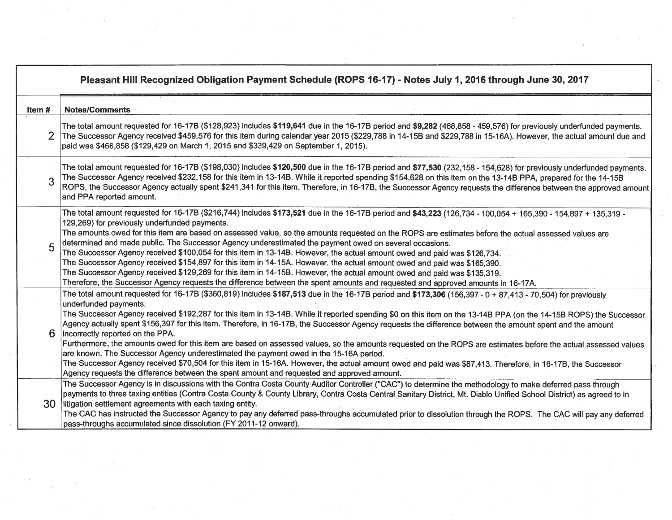|        | Pleasant Hill Recognized Obligation Payment Schedule (ROPS 16-17) - Notes July 1, 2016 through June 30, 2017                                                                                                                                                                                                                                                                                                                                                                                                                                                                                                                                                                                                                                                                                                                                                                                                                                                                                                                                                                     |
|--------|----------------------------------------------------------------------------------------------------------------------------------------------------------------------------------------------------------------------------------------------------------------------------------------------------------------------------------------------------------------------------------------------------------------------------------------------------------------------------------------------------------------------------------------------------------------------------------------------------------------------------------------------------------------------------------------------------------------------------------------------------------------------------------------------------------------------------------------------------------------------------------------------------------------------------------------------------------------------------------------------------------------------------------------------------------------------------------|
| Item # | <b>Notes/Comments</b>                                                                                                                                                                                                                                                                                                                                                                                                                                                                                                                                                                                                                                                                                                                                                                                                                                                                                                                                                                                                                                                            |
| 2      | The total amount requested for 16-17B (\$128,923) includes \$119,641 due in the 16-17B period and \$9,282 (468,858 - 459,576) for previously underfunded payments.<br>The Successor Agency received \$459,576 for this item during calendar year 2015 (\$229,788 in 14-15B and \$229,788 in 15-16A). However, the actual amount due and<br>paid was \$468,858 (\$129,429 on March 1, 2015 and \$339,429 on September 1, 2015).                                                                                                                                                                                                                                                                                                                                                                                                                                                                                                                                                                                                                                                   |
| 3      | The total amount requested for 16-17B (\$198,030) includes \$120,500 due in the 16-17B period and \$77,530 (232,158 - 154,628) for previously underfunded payments.<br>The Successor Agency received \$232,158 for this item in 13-14B. While it reported spending \$154,628 on this item on the 13-14B PPA, prepared for the 14-15B<br>ROPS, the Successor Agency actually spent \$241,341 for this item. Therefore, in 16-17B, the Successor Agency requests the difference between the approved amount<br>and PPA reported amount.                                                                                                                                                                                                                                                                                                                                                                                                                                                                                                                                            |
|        | The total amount requested for 16-17B (\$216,744) includes \$173,521 due in the 16-17B period and \$43,223 (126,734 - 100,054 + 165,390 - 154,897 + 135,319 -<br>129,269) for previously underfunded payments.<br>The amounts owed for this item are based on assessed value, so the amounts requested on the ROPS are estimates before the actual assessed values are<br>determined and made public. The Successor Agency underestimated the payment owed on several occasions.<br>The Successor Agency received \$100,054 for this item in 13-14B. However, the actual amount owed and paid was \$126,734.<br>The Successor Agency received \$154,897 for this item in 14-15A. However, the actual amount owed and paid was \$165,390.<br>The Successor Agency received \$129,269 for this item in 14-15B. However, the actual amount owed and paid was \$135,319.<br>Therefore, the Successor Agency requests the difference between the spent amounts and requested and approved amounts in 16-17A.                                                                          |
| 6      | The total amount requested for 16-17B (\$360,819) includes \$187,513 due in the 16-17B period and \$173,306 (156,397 - 0 + 87,413 - 70,504) for previously<br>underfunded payments.<br>The Successor Agency received \$192,287 for this item in 13-14B. While it reported spending \$0 on this item on the 13-14B PPA (on the 14-15B ROPS) the Successor<br>Agency actually spent \$156,397 for this item. Therefore, in 16-17B, the Successor Agency requests the difference between the amount spent and the amount<br>incorrectly reported on the PPA.<br>Furthermore, the amounts owed for this item are based on assessed values, so the amounts requested on the ROPS are estimates before the actual assessed values<br>are known. The Successor Agency underestimated the payment owed in the 15-16A period.<br>The Successor Agency received \$70,504 for this item in 15-16A. However, the actual amount owed and paid was \$87,413. Therefore, in 16-17B, the Successor<br>Agency requests the difference between the spent amount and requested and approved amount. |
| 30     | The Successor Agency is in discussions with the Contra Costa County Auditor Controller ("CAC") to determine the methodology to make deferred pass through<br>payments to three taxing entities (Contra Costa County & County Library, Contra Costa Central Sanitary District, Mt. Diablo Unified School District) as agreed to in<br>litigation settlement agreements with each taxing entity.<br>The CAC has instructed the Successor Agency to pay any deferred pass-throughs accumulated prior to dissolution through the ROPS. The CAC will pay any deferred<br>pass-throughs accumulated since dissolution (FY 2011-12 onward).                                                                                                                                                                                                                                                                                                                                                                                                                                             |

 $\sim 10^{11}$ 

 $\alpha$ 

 $\alpha$  .

 $\mathcal{L}$ 

 $\langle \overline{e} \rangle$ 

 $\mathbf{X}^{\mathcal{I}}$ 

 $\sim$   $\sim$ 

 $\label{eq:1.1} \langle \xi \Psi \rangle$  where  $\eta$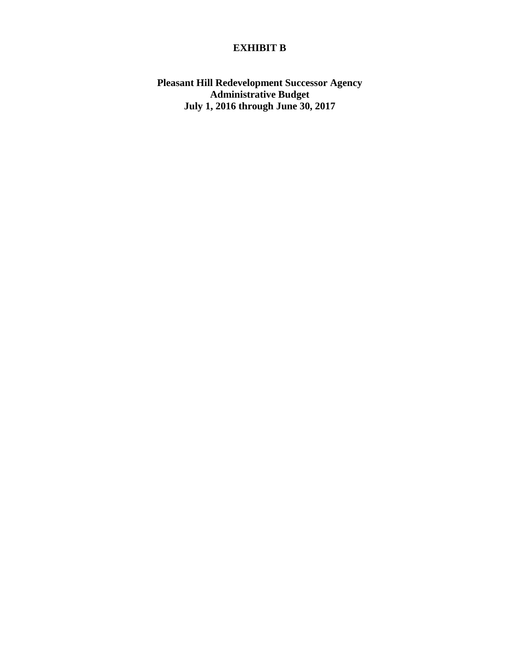## **EXHIBIT B**

**Pleasant Hill Redevelopment Successor Agency Administrative Budget July 1, 2016 through June 30, 2017**